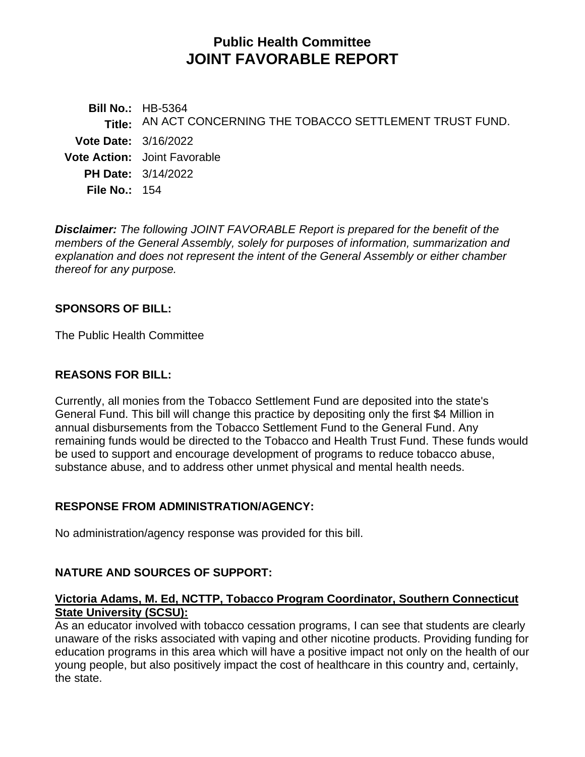# **Public Health Committee JOINT FAVORABLE REPORT**

**Bill No.:** HB-5364 **Title:** AN ACT CONCERNING THE TOBACCO SETTLEMENT TRUST FUND. **Vote Date:** 3/16/2022 **Vote Action:** Joint Favorable **PH Date:** 3/14/2022 **File No.:** 154

*Disclaimer: The following JOINT FAVORABLE Report is prepared for the benefit of the members of the General Assembly, solely for purposes of information, summarization and explanation and does not represent the intent of the General Assembly or either chamber thereof for any purpose.*

#### **SPONSORS OF BILL:**

The Public Health Committee

# **REASONS FOR BILL:**

Currently, all monies from the Tobacco Settlement Fund are deposited into the state's General Fund. This bill will change this practice by depositing only the first \$4 Million in annual disbursements from the Tobacco Settlement Fund to the General Fund. Any remaining funds would be directed to the Tobacco and Health Trust Fund. These funds would be used to support and encourage development of programs to reduce tobacco abuse, substance abuse, and to address other unmet physical and mental health needs.

# **RESPONSE FROM ADMINISTRATION/AGENCY:**

No administration/agency response was provided for this bill.

# **NATURE AND SOURCES OF SUPPORT:**

#### **Victoria Adams, M. Ed, NCTTP, Tobacco Program Coordinator, Southern Connecticut State University (SCSU):**

As an educator involved with tobacco cessation programs, I can see that students are clearly unaware of the risks associated with vaping and other nicotine products. Providing funding for education programs in this area which will have a positive impact not only on the health of our young people, but also positively impact the cost of healthcare in this country and, certainly, the state.